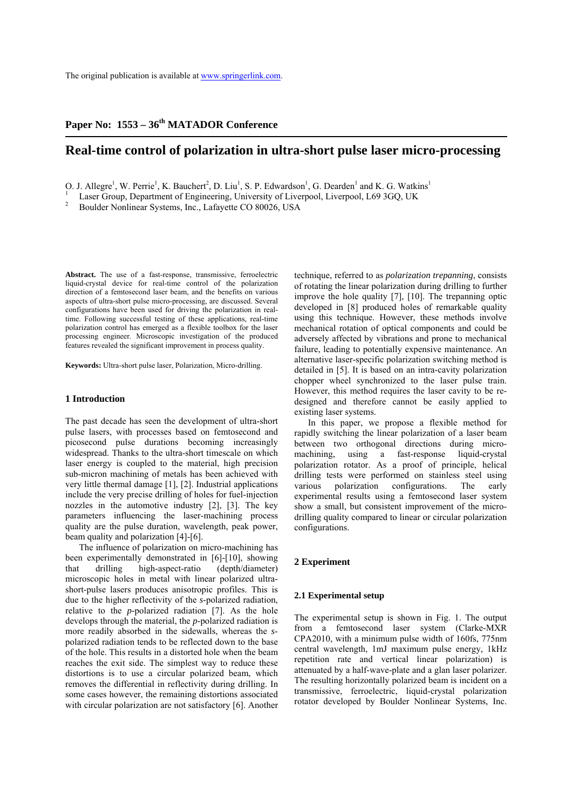# Paper No: 1553 – 36<sup>th</sup> MATADOR Conference

# **Real-time control of polarization in ultra-short pulse laser micro-processing**

O. J. Allegre<sup>1</sup>, W. Perrie<sup>1</sup>, K. Bauchert<sup>2</sup>, D. Liu<sup>1</sup>, S. P. Edwardson<sup>1</sup>, G. Dearden<sup>1</sup> and K. G. Watkins<sup>1</sup>

<sup>1</sup> Laser Group, Department of Engineering, University of Liverpool, Liverpool, L69 3GQ, UK  $^{2}$  Boulder Nonlinear Systems, Inc., Lafayette CO 80026, USA

**Abstract.** The use of a fast-response, transmissive, ferroelectric liquid-crystal device for real-time control of the polarization direction of a femtosecond laser beam, and the benefits on various aspects of ultra-short pulse micro-processing, are discussed. Several configurations have been used for driving the polarization in realtime. Following successful testing of these applications, real-time polarization control has emerged as a flexible toolbox for the laser processing engineer. Microscopic investigation of the produced features revealed the significant improvement in process quality.

**Keywords:** Ultra-short pulse laser, Polarization, Micro-drilling.

# **1 Introduction**

The past decade has seen the development of ultra-short pulse lasers, with processes based on femtosecond and picosecond pulse durations becoming increasingly widespread. Thanks to the ultra-short timescale on which laser energy is coupled to the material, high precision sub-micron machining of metals has been achieved with very little thermal damage [1], [2]. Industrial applications include the very precise drilling of holes for fuel-injection nozzles in the automotive industry [2], [3]. The key parameters influencing the laser-machining process quality are the pulse duration, wavelength, peak power, beam quality and polarization [4]-[6].

The influence of polarization on micro-machining has been experimentally demonstrated in [6]-[10], showing that drilling high-aspect-ratio (depth/diameter) microscopic holes in metal with linear polarized ultrashort-pulse lasers produces anisotropic profiles. This is due to the higher reflectivity of the *s*-polarized radiation, relative to the *p*-polarized radiation [7]. As the hole develops through the material, the *p*-polarized radiation is more readily absorbed in the sidewalls, whereas the *s*polarized radiation tends to be reflected down to the base of the hole. This results in a distorted hole when the beam reaches the exit side. The simplest way to reduce these distortions is to use a circular polarized beam, which removes the differential in reflectivity during drilling. In some cases however, the remaining distortions associated with circular polarization are not satisfactory [6]. Another

technique, referred to as *polarization trepanning*, consists of rotating the linear polarization during drilling to further improve the hole quality [7], [10]. The trepanning optic developed in [8] produced holes of remarkable quality using this technique. However, these methods involve mechanical rotation of optical components and could be adversely affected by vibrations and prone to mechanical failure, leading to potentially expensive maintenance. An alternative laser-specific polarization switching method is detailed in [5]. It is based on an intra-cavity polarization chopper wheel synchronized to the laser pulse train. However, this method requires the laser cavity to be redesigned and therefore cannot be easily applied to existing laser systems.

In this paper, we propose a flexible method for rapidly switching the linear polarization of a laser beam between two orthogonal directions during micromachining, using a fast-response liquid-crystal polarization rotator. As a proof of principle, helical drilling tests were performed on stainless steel using various polarization configurations. The early experimental results using a femtosecond laser system show a small, but consistent improvement of the microdrilling quality compared to linear or circular polarization configurations.

# **2 Experiment**

#### **2.1 Experimental setup**

The experimental setup is shown in Fig. 1. The output from a femtosecond laser system (Clarke-MXR CPA2010, with a minimum pulse width of 160fs, 775nm central wavelength, 1mJ maximum pulse energy, 1kHz repetition rate and vertical linear polarization) is attenuated by a half-wave-plate and a glan laser polarizer. The resulting horizontally polarized beam is incident on a transmissive, ferroelectric, liquid-crystal polarization rotator developed by Boulder Nonlinear Systems, Inc.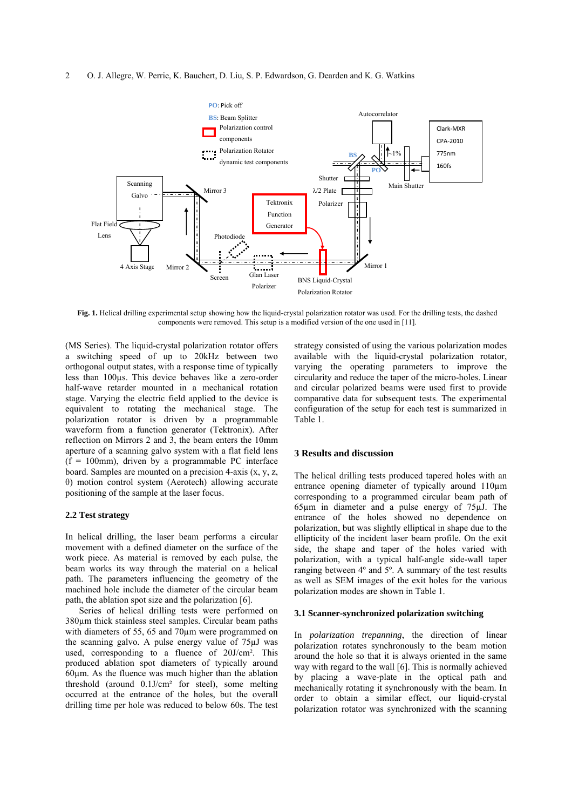#### 2 O. J. Allegre, W. Perrie, K. Bauchert, D. Liu, S. P. Edwardson, G. Dearden and K. G. Watkins



**Fig. 1.** Helical drilling experimental setup showing how the liquid-crystal polarization rotator was used. For the drilling tests, the dashed components were removed. This setup is a modified version of the one used in [11].

(MS Series). The liquid-crystal polarization rotator offers a switching speed of up to 20kHz between two orthogonal output states, with a response time of typically less than 100µs. This device behaves like a zero-order half-wave retarder mounted in a mechanical rotation stage. Varying the electric field applied to the device is equivalent to rotating the mechanical stage. The polarization rotator is driven by a programmable waveform from a function generator (Tektronix). After reflection on Mirrors 2 and 3, the beam enters the 10mm aperture of a scanning galvo system with a flat field lens  $(f = 100$ mm), driven by a programmable PC interface board. Samples are mounted on a precision 4-axis (x, y, z, θ) motion control system (Aerotech) allowing accurate positioning of the sample at the laser focus.

# **2.2 Test strategy**

In helical drilling, the laser beam performs a circular movement with a defined diameter on the surface of the work piece. As material is removed by each pulse, the beam works its way through the material on a helical path. The parameters influencing the geometry of the machined hole include the diameter of the circular beam path, the ablation spot size and the polarization [6].

Series of helical drilling tests were performed on 380µm thick stainless steel samples. Circular beam paths with diameters of 55, 65 and 70<sub>um</sub> were programmed on the scanning galvo. A pulse energy value of 75µJ was used, corresponding to a fluence of 20J/cm². This produced ablation spot diameters of typically around  $60\mu$ m. As the fluence was much higher than the ablation threshold (around 0.1J/cm² for steel), some melting occurred at the entrance of the holes, but the overall drilling time per hole was reduced to below 60s. The test

strategy consisted of using the various polarization modes available with the liquid-crystal polarization rotator, varying the operating parameters to improve the circularity and reduce the taper of the micro-holes. Linear and circular polarized beams were used first to provide comparative data for subsequent tests. The experimental configuration of the setup for each test is summarized in Table 1.

#### **3 Results and discussion**

The helical drilling tests produced tapered holes with an entrance opening diameter of typically around 110µm corresponding to a programmed circular beam path of 65µm in diameter and a pulse energy of 75µJ. The entrance of the holes showed no dependence on polarization, but was slightly elliptical in shape due to the ellipticity of the incident laser beam profile. On the exit side, the shape and taper of the holes varied with polarization, with a typical half-angle side-wall taper ranging between 4º and 5º. A summary of the test results as well as SEM images of the exit holes for the various polarization modes are shown in Table 1.

#### **3.1 Scanner-synchronized polarization switching**

In *polarization trepanning*, the direction of linear polarization rotates synchronously to the beam motion around the hole so that it is always oriented in the same way with regard to the wall [6]. This is normally achieved by placing a wave-plate in the optical path and mechanically rotating it synchronously with the beam. In order to obtain a similar effect, our liquid-crystal polarization rotator was synchronized with the scanning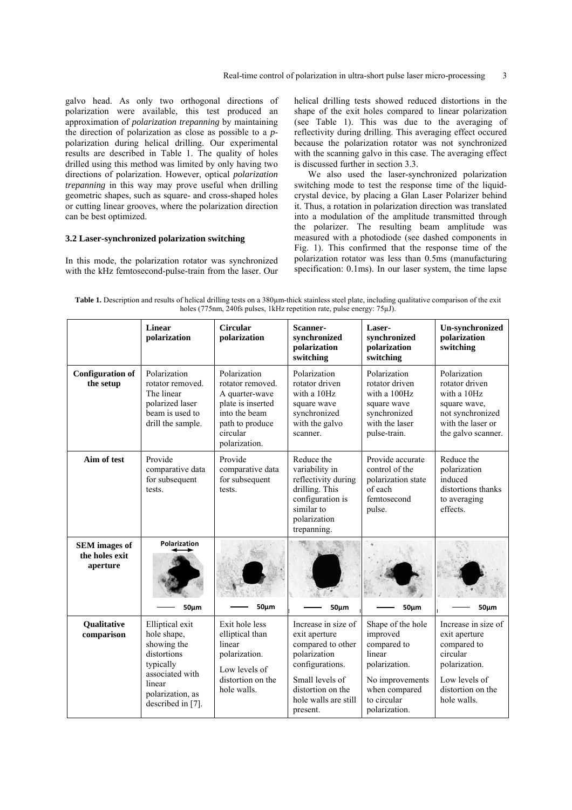galvo head. As only two orthogonal directions of polarization were available, this test produced an approximation of *polarization trepanning* by maintaining the direction of polarization as close as possible to a *p*polarization during helical drilling. Our experimental results are described in Table 1. The quality of holes drilled using this method was limited by only having two directions of polarization. However, optical *polarization trepanning* in this way may prove useful when drilling geometric shapes, such as square- and cross-shaped holes or cutting linear grooves, where the polarization direction can be best optimized.

## **3.2 Laser-synchronized polarization switching**

In this mode, the polarization rotator was synchronized with the kHz femtosecond-pulse-train from the laser. Our helical drilling tests showed reduced distortions in the shape of the exit holes compared to linear polarization (see Table 1). This was due to the averaging of reflectivity during drilling. This averaging effect occured because the polarization rotator was not synchronized with the scanning galvo in this case. The averaging effect is discussed further in section 3.3.

We also used the laser-synchronized polarization switching mode to test the response time of the liquidcrystal device, by placing a Glan Laser Polarizer behind it. Thus, a rotation in polarization direction was translated into a modulation of the amplitude transmitted through the polarizer. The resulting beam amplitude was measured with a photodiode (see dashed components in Fig. 1). This confirmed that the response time of the polarization rotator was less than 0.5ms (manufacturing specification: 0.1ms). In our laser system, the time lapse

Table 1. Description and results of helical drilling tests on a 380µm-thick stainless steel plate, including qualitative comparison of the exit holes (775nm, 240fs pulses, 1kHz repetition rate, pulse energy: 75µJ).

|                                                    | Linear<br>polarization                                                                                                                          | Circular<br>polarization                                                                                                                 | Scanner-<br>synchronized<br>polarization<br>switching                                                                                                                    | Laser-<br>synchronized<br>polarization<br>switching                                                                                         | <b>Un-synchronized</b><br>polarization<br>switching                                                                                   |
|----------------------------------------------------|-------------------------------------------------------------------------------------------------------------------------------------------------|------------------------------------------------------------------------------------------------------------------------------------------|--------------------------------------------------------------------------------------------------------------------------------------------------------------------------|---------------------------------------------------------------------------------------------------------------------------------------------|---------------------------------------------------------------------------------------------------------------------------------------|
| <b>Configuration of</b><br>the setup               | Polarization<br>rotator removed.<br>The linear<br>polarized laser<br>beam is used to<br>drill the sample.                                       | Polarization<br>rotator removed.<br>A quarter-wave<br>plate is inserted<br>into the beam<br>path to produce<br>circular<br>polarization. | Polarization<br>rotator driven<br>with a 10Hz<br>square wave<br>synchronized<br>with the galvo<br>scanner.                                                               | Polarization<br>rotator driven<br>with a 100Hz<br>square wave<br>synchronized<br>with the laser<br>pulse-train.                             | Polarization<br>rotator driven<br>with a 10Hz<br>square wave,<br>not synchronized<br>with the laser or<br>the galvo scanner.          |
| Aim of test                                        | Provide<br>comparative data<br>for subsequent<br>tests.                                                                                         | Provide<br>comparative data<br>for subsequent<br>tests.                                                                                  | Reduce the<br>variability in<br>reflectivity during<br>drilling. This<br>configuration is<br>similar to<br>polarization<br>trepanning.                                   | Provide accurate<br>control of the<br>polarization state<br>of each<br>femtosecond<br>pulse.                                                | Reduce the<br>polarization<br>induced<br>distortions thanks<br>to averaging<br>effects.                                               |
| <b>SEM</b> images of<br>the holes exit<br>aperture | Polarization<br>$50 \mu m$                                                                                                                      | $50 \mu m$                                                                                                                               | $50 \mu m$                                                                                                                                                               | $50 \mu m$                                                                                                                                  | $50 \mu m$                                                                                                                            |
| <b>Qualitative</b><br>comparison                   | Elliptical exit<br>hole shape,<br>showing the<br>distortions<br>typically<br>associated with<br>linear<br>polarization, as<br>described in [7]. | Exit hole less<br>elliptical than<br>linear<br>polarization.<br>Low levels of<br>distortion on the<br>hole walls.                        | Increase in size of<br>exit aperture<br>compared to other<br>polarization<br>configurations.<br>Small levels of<br>distortion on the<br>hole walls are still<br>present. | Shape of the hole<br>improved<br>compared to<br>linear<br>polarization.<br>No improvements<br>when compared<br>to circular<br>polarization. | Increase in size of<br>exit aperture<br>compared to<br>circular<br>polarization.<br>Low levels of<br>distortion on the<br>hole walls. |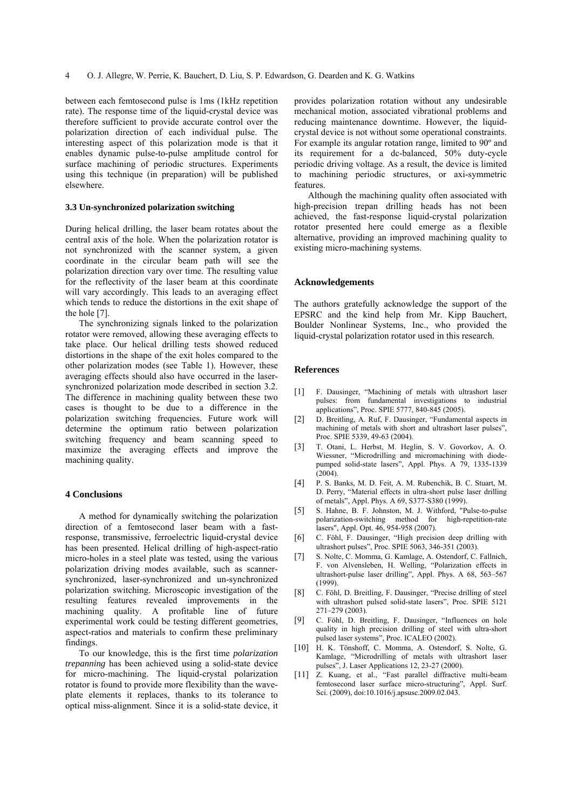between each femtosecond pulse is 1ms (1kHz repetition rate). The response time of the liquid-crystal device was therefore sufficient to provide accurate control over the polarization direction of each individual pulse. The interesting aspect of this polarization mode is that it enables dynamic pulse-to-pulse amplitude control for surface machining of periodic structures. Experiments using this technique (in preparation) will be published elsewhere.

## **3.3 Un-synchronized polarization switching**

During helical drilling, the laser beam rotates about the central axis of the hole. When the polarization rotator is not synchronized with the scanner system, a given coordinate in the circular beam path will see the polarization direction vary over time. The resulting value for the reflectivity of the laser beam at this coordinate will vary accordingly. This leads to an averaging effect which tends to reduce the distortions in the exit shape of the hole [7].

The synchronizing signals linked to the polarization rotator were removed, allowing these averaging effects to take place. Our helical drilling tests showed reduced distortions in the shape of the exit holes compared to the other polarization modes (see Table 1). However, these averaging effects should also have occurred in the lasersynchronized polarization mode described in section 3.2. The difference in machining quality between these two cases is thought to be due to a difference in the polarization switching frequencies. Future work will determine the optimum ratio between polarization switching frequency and beam scanning speed to maximize the averaging effects and improve the machining quality.

#### **4 Conclusions**

A method for dynamically switching the polarization direction of a femtosecond laser beam with a fastresponse, transmissive, ferroelectric liquid-crystal device has been presented. Helical drilling of high-aspect-ratio micro-holes in a steel plate was tested, using the various polarization driving modes available, such as scannersynchronized, laser-synchronized and un-synchronized polarization switching. Microscopic investigation of the resulting features revealed improvements in the machining quality. A profitable line of future experimental work could be testing different geometries, aspect-ratios and materials to confirm these preliminary findings.

To our knowledge, this is the first time *polarization trepanning* has been achieved using a solid-state device for micro-machining. The liquid-crystal polarization rotator is found to provide more flexibility than the waveplate elements it replaces, thanks to its tolerance to optical miss-alignment. Since it is a solid-state device, it provides polarization rotation without any undesirable mechanical motion, associated vibrational problems and reducing maintenance downtime. However, the liquidcrystal device is not without some operational constraints. For example its angular rotation range, limited to 90º and its requirement for a dc-balanced, 50% duty-cycle periodic driving voltage. As a result, the device is limited to machining periodic structures, or axi-symmetric features.

Although the machining quality often associated with high-precision trepan drilling heads has not been achieved, the fast-response liquid-crystal polarization rotator presented here could emerge as a flexible alternative, providing an improved machining quality to existing micro-machining systems.

#### **Acknowledgements**

The authors gratefully acknowledge the support of the EPSRC and the kind help from Mr. Kipp Bauchert, Boulder Nonlinear Systems, Inc., who provided the liquid-crystal polarization rotator used in this research.

#### **References**

- [1] F. Dausinger, "Machining of metals with ultrashort laser pulses: from fundamental investigations to industrial applications", Proc. SPIE 5777, 840-845 (2005).
- [2] D. Breitling, A. Ruf, F. Dausinger, "Fundamental aspects in machining of metals with short and ultrashort laser pulses", Proc. SPIE 5339, 49-63 (2004).
- [3] T. Otani, L. Herbst, M. Heglin, S. V. Govorkov, A. O. Wiessner, "Microdrilling and micromachining with diodepumped solid-state lasers", Appl. Phys. A 79, 1335-1339  $(2004)$
- [4] P. S. Banks, M. D. Feit, A. M. Rubenchik, B. C. Stuart, M. D. Perry, "Material effects in ultra-short pulse laser drilling of metals", Appl. Phys. A 69, S377-S380 (1999).
- [5] S. Hahne, B. F. Johnston, M. J. Withford, "Pulse-to-pulse polarization-switching method for high-repetition-rate lasers", Appl. Opt. 46, 954-958 (2007).
- [6] C. Föhl, F. Dausinger, "High precision deep drilling with ultrashort pulses", Proc. SPIE 5063, 346-351 (2003).
- [7] S. Nolte, C. Momma, G. Kamlage, A. Ostendorf, C. Fallnich, F. von Alvensleben, H. Welling, "Polarization effects in ultrashort-pulse laser drilling", Appl. Phys. A 68, 563–567 (1999).
- [8] C. Föhl, D. Breitling, F. Dausinger, "Precise drilling of steel with ultrashort pulsed solid-state lasers", Proc. SPIE 5121 271–279 (2003).
- [9] C. Föhl, D. Breitling, F. Dausinger, "Influences on hole quality in high precision drilling of steel with ultra-short pulsed laser systems", Proc. ICALEO (2002).
- [10] [H. K. Tönshoff](http://scitation.aip.org/vsearch/servlet/VerityServlet?KEY=ALL&possible1=Tonshoff%2C+H.+K.&possible1zone=author&maxdisp=25&smode=strresults&aqs=true), [C. Momma,](http://scitation.aip.org/vsearch/servlet/VerityServlet?KEY=ALL&possible1=Momma%2C+C.&possible1zone=author&maxdisp=25&smode=strresults&aqs=true) [A. Ostendorf](http://scitation.aip.org/vsearch/servlet/VerityServlet?KEY=ALL&possible1=Ostendorf%2C+A.&possible1zone=author&maxdisp=25&smode=strresults&aqs=true), [S. Nolte](http://scitation.aip.org/vsearch/servlet/VerityServlet?KEY=ALL&possible1=Nolte%2C+S.&possible1zone=author&maxdisp=25&smode=strresults&aqs=true), [G.](http://scitation.aip.org/vsearch/servlet/VerityServlet?KEY=ALL&possible1=Kamlage%2C+G.&possible1zone=author&maxdisp=25&smode=strresults&aqs=true)  [Kamlage,](http://scitation.aip.org/vsearch/servlet/VerityServlet?KEY=ALL&possible1=Kamlage%2C+G.&possible1zone=author&maxdisp=25&smode=strresults&aqs=true) "Microdrilling of metals with ultrashort laser pulses", J. Laser Applications 12, 23-27 (2000).
- [11] Z. Kuang, et al., "Fast parallel diffractive multi-beam femtosecond laser surface micro-structuring", Appl. Surf. Sci. (2009), doi:10.1016/j.apsusc.2009.02.043.